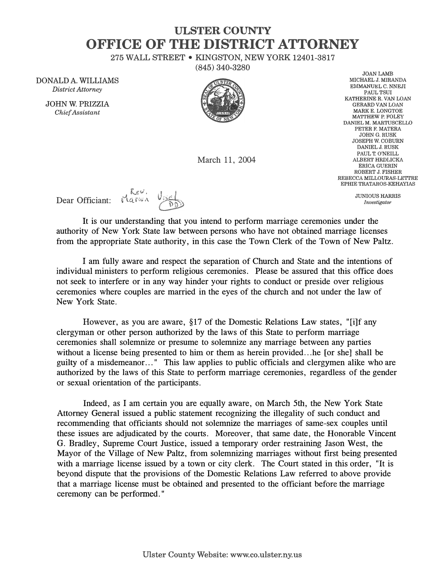## **ULSTER COUNTY OFFICE OF THE DISTRICT ATTORNEY**

275 WALL STREET• KINGSTON, NEW YORK 12401-3817

(845) 340-3280

DONALD A. WILLIAMS *District Attorney* 

> **JOHN W. PRIZZIA**  *Chief Assistant*



March 11, 2004

**JOANLAMB MICHAEL J. MIRANDA EMMANUEL C. NNEJI PAULTSUI KATHERINE R. VAN LOAN GERARD VAN LOAN MARKE. LONGTOE MATTHEW P. FOLEY DANIEL M. MARTUSCELLO PETER F. MATERA JOHNG.RUSK JOSEPH W. COBURN DANIEL J. RUSK**  PAUL T. O'NEULL **ALBERT HRDLICKA ERICA GUERIN ROBERT J. FISHER REBECCA MILLOURAS-LETI'RE EPHIE TRATAROS-KEHAYIAS** 

> **JUNIOUS HARRIS**  *Investigator*

, *Lev*<br>Dear Officiant: **المحمد المحمد المحمد المحمد المحمد المحمد** 

It is our understanding that you intend to perform marriage ceremonies under the authority of New York State law between persons who have not obtained marriage licenses from the appropriate State authority, in this case the Town Clerk of the Town of New Paltz.

I am fully aware and respect the separation of Church and State and the intentions of individual ministers to perform religious ceremonies. Please be assured that this office does not seek to interfere or in any way hinder your rights to conduct or preside over religious ceremonies where couples are married in the eyes of the church and not under the law of New York State.

However, as you are aware, §17 of the Domestic Relations Law states, "[i]f any clergyman or other person authorized by the laws of this State to perform marriage ceremonies shall solemnize or presume to solemnize any marriage between any parties without a license being presented to him or them as herein provided...he [or she] shall be guilty of a misdemeanor ... " This law applies to public officials and clergymen alike who are authorized by the laws of this State to perform marriage ceremonies, regardless of the gender or sexual orientation of the participants.

Indeed, as I am certain you are equally aware, on March 5th, the New York State Attorney General issued a public statement recognizing the illegality of such conduct and recommending that officiants should not solemnize the marriages of same-sex couples until these issues are adjudicated by the courts. Moreover, that same date, the Honorable Vincent G. Bradley, Supreme Court Justice, issued a temporary order restraining Jason West, the Mayor of the Village of New Paltz, from solemnizing marriages without first being presented with a marriage license issued by a town or city clerk. The Court stated in this order, "It is beyond dispute that the provisions of the Domestic Relations Law referred to above provide that a marriage license must be obtained and presented to the officiant before the marriage ceremony can be performed."